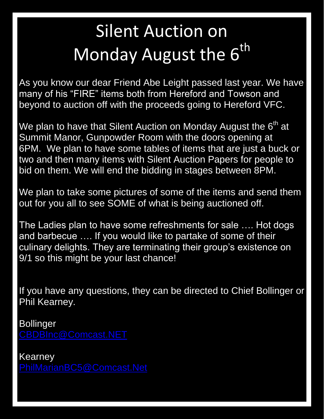## Silent Auction on Monday August the 6<sup>th</sup>

As you know our dear Friend Abe Leight passed last year. We have many of his "FIRE" items both from Hereford and Towson and beyond to auction off with the proceeds going to Hereford VFC.

We plan to have that Silent Auction on Monday August the 6<sup>th</sup> at Summit Manor, Gunpowder Room with the doors opening at 6PM. We plan to have some tables of items that are just a buck or two and then many items with Silent Auction Papers for people to bid on them. We will end the bidding in stages between 8PM.

We plan to take some pictures of some of the items and send them out for you all to see SOME of what is being auctioned off.

The Ladies plan to have some refreshments for sale …. Hot dogs and barbecue …. If you would like to partake of some of their culinary delights. They are terminating their group's existence on 9/1 so this might be your last chance!

If you have any questions, they can be directed to Chief Bollinger or Phil Kearney.

Bollinger

Kearney